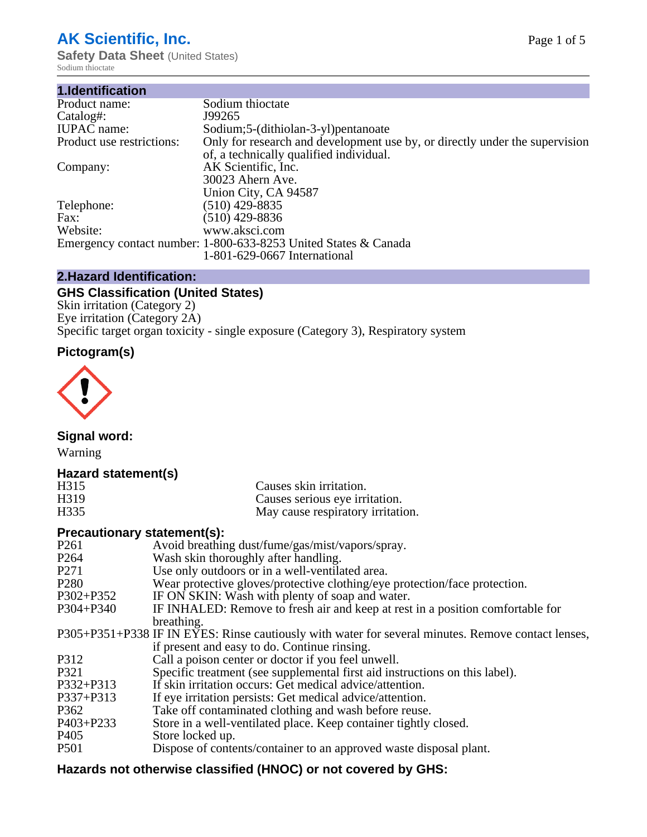# **AK Scientific, Inc.**

**Safety Data Sheet (United States)** Sodium thioctate

| 1.Identification          |                                                                             |
|---------------------------|-----------------------------------------------------------------------------|
| Product name:             | Sodium thioctate                                                            |
| Catalog#:                 | J99265                                                                      |
| <b>IUPAC</b> name:        | Sodium;5-(dithiolan-3-yl)pentanoate                                         |
| Product use restrictions: | Only for research and development use by, or directly under the supervision |
|                           | of, a technically qualified individual.                                     |
| Company:                  | AK Scientific, Inc.                                                         |
|                           | 30023 Ahern Ave.                                                            |
|                           | Union City, CA 94587                                                        |
| Telephone:                | $(510)$ 429-8835                                                            |
| Fax:                      | $(510)$ 429-8836                                                            |
| Website:                  | www.aksci.com                                                               |
|                           | Emergency contact number: 1-800-633-8253 United States & Canada             |
|                           | 1-801-629-0667 International                                                |

# **2.Hazard Identification:**

# **GHS Classification (United States)**

Skin irritation (Category 2) Eye irritation (Category 2A) Specific target organ toxicity - single exposure (Category 3), Respiratory system

# **Pictogram(s)**



**Signal word:**

Warning

## **Hazard statement(s)**

| H <sub>315</sub>  | Causes skin irritation.           |
|-------------------|-----------------------------------|
| H <sub>3</sub> 19 | Causes serious eye irritation.    |
| H335              | May cause respiratory irritation. |

### **Precautionary statement(s):**

| P <sub>261</sub> | Avoid breathing dust/fume/gas/mist/vapors/spray.                                                   |
|------------------|----------------------------------------------------------------------------------------------------|
| P <sub>264</sub> | Wash skin thoroughly after handling.                                                               |
| P <sub>271</sub> | Use only outdoors or in a well-ventilated area.                                                    |
| P <sub>280</sub> | Wear protective gloves/protective clothing/eye protection/face protection.                         |
| P302+P352        | IF ON SKIN: Wash with plenty of soap and water.                                                    |
| $P304 + P340$    | IF INHALED: Remove to fresh air and keep at rest in a position comfortable for                     |
|                  | breathing.                                                                                         |
|                  | P305+P351+P338 IF IN EYES: Rinse cautiously with water for several minutes. Remove contact lenses, |
|                  | if present and easy to do. Continue rinsing.                                                       |
| P312             | Call a poison center or doctor if you feel unwell.                                                 |
| P321             | Specific treatment (see supplemental first aid instructions on this label).                        |
| P332+P313        | If skin irritation occurs: Get medical advice/attention.                                           |
| P337+P313        | If eye irritation persists: Get medical advice/attention.                                          |
| P362             | Take off contaminated clothing and wash before reuse.                                              |
| $P403 + P233$    | Store in a well-ventilated place. Keep container tightly closed.                                   |
| P <sub>405</sub> | Store locked up.                                                                                   |
| P <sub>501</sub> | Dispose of contents/container to an approved waste disposal plant.                                 |
|                  |                                                                                                    |

# **Hazards not otherwise classified (HNOC) or not covered by GHS:**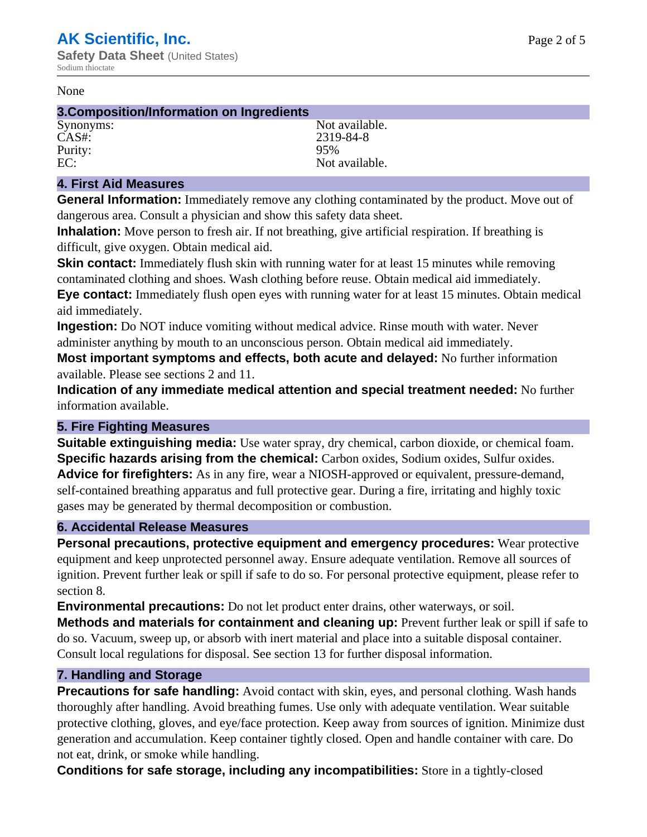#### None

#### **3.Composition/Information on Ingredients**

CAS#: 2319-84-8<br>Purity: 2319-84-8 Purity:

Synonyms: Not available. EC: Not available.

#### **4. First Aid Measures**

**General Information:** Immediately remove any clothing contaminated by the product. Move out of dangerous area. Consult a physician and show this safety data sheet.

**Inhalation:** Move person to fresh air. If not breathing, give artificial respiration. If breathing is difficult, give oxygen. Obtain medical aid.

**Skin contact:** Immediately flush skin with running water for at least 15 minutes while removing contaminated clothing and shoes. Wash clothing before reuse. Obtain medical aid immediately. **Eye contact:** Immediately flush open eyes with running water for at least 15 minutes. Obtain medical aid immediately.

**Ingestion:** Do NOT induce vomiting without medical advice. Rinse mouth with water. Never administer anything by mouth to an unconscious person. Obtain medical aid immediately.

**Most important symptoms and effects, both acute and delayed:** No further information available. Please see sections 2 and 11.

**Indication of any immediate medical attention and special treatment needed:** No further information available.

#### **5. Fire Fighting Measures**

**Suitable extinguishing media:** Use water spray, dry chemical, carbon dioxide, or chemical foam. **Specific hazards arising from the chemical:** Carbon oxides, Sodium oxides, Sulfur oxides. **Advice for firefighters:** As in any fire, wear a NIOSH-approved or equivalent, pressure-demand, self-contained breathing apparatus and full protective gear. During a fire, irritating and highly toxic gases may be generated by thermal decomposition or combustion.

#### **6. Accidental Release Measures**

**Personal precautions, protective equipment and emergency procedures:** Wear protective equipment and keep unprotected personnel away. Ensure adequate ventilation. Remove all sources of ignition. Prevent further leak or spill if safe to do so. For personal protective equipment, please refer to section 8.

**Environmental precautions:** Do not let product enter drains, other waterways, or soil.

**Methods and materials for containment and cleaning up:** Prevent further leak or spill if safe to do so. Vacuum, sweep up, or absorb with inert material and place into a suitable disposal container. Consult local regulations for disposal. See section 13 for further disposal information.

#### **7. Handling and Storage**

**Precautions for safe handling:** Avoid contact with skin, eyes, and personal clothing. Wash hands thoroughly after handling. Avoid breathing fumes. Use only with adequate ventilation. Wear suitable protective clothing, gloves, and eye/face protection. Keep away from sources of ignition. Minimize dust generation and accumulation. Keep container tightly closed. Open and handle container with care. Do not eat, drink, or smoke while handling.

**Conditions for safe storage, including any incompatibilities:** Store in a tightly-closed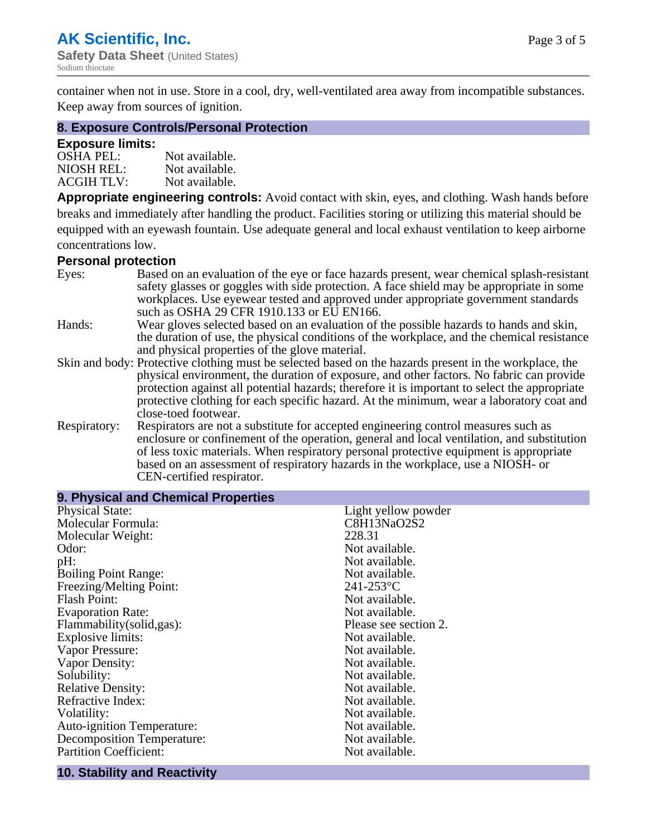container when not in use. Store in a cool, dry, well-ventilated area away from incompatible substances. Keep away from sources of ignition.

#### **8. Exposure Controls/Personal Protection**

#### **Exposure limits:**

| <b>OSHA PEL:</b>  | Not available. |
|-------------------|----------------|
| NIOSH REL:        | Not available. |
| <b>ACGIH TLV:</b> | Not available. |

**Appropriate engineering controls:** Avoid contact with skin, eyes, and clothing. Wash hands before breaks and immediately after handling the product. Facilities storing or utilizing this material should be equipped with an eyewash fountain. Use adequate general and local exhaust ventilation to keep airborne concentrations low.

#### **Personal protection**

| Eyes:        | Based on an evaluation of the eye or face hazards present, wear chemical splash-resistant<br>safety glasses or goggles with side protection. A face shield may be appropriate in some |  |  |
|--------------|---------------------------------------------------------------------------------------------------------------------------------------------------------------------------------------|--|--|
|              | workplaces. Use eyewear tested and approved under appropriate government standards<br>such as OSHA 29 CFR 1910.133 or EU EN166.                                                       |  |  |
| Hands:       | Wear gloves selected based on an evaluation of the possible hazards to hands and skin,                                                                                                |  |  |
|              | the duration of use, the physical conditions of the workplace, and the chemical resistance                                                                                            |  |  |
|              | and physical properties of the glove material.                                                                                                                                        |  |  |
|              | Skin and body: Protective clothing must be selected based on the hazards present in the workplace, the                                                                                |  |  |
|              | physical environment, the duration of exposure, and other factors. No fabric can provide                                                                                              |  |  |
|              | protection against all potential hazards; therefore it is important to select the appropriate                                                                                         |  |  |
|              | protective clothing for each specific hazard. At the minimum, wear a laboratory coat and                                                                                              |  |  |
|              | close-toed footwear.                                                                                                                                                                  |  |  |
| Respiratory: | Respirators are not a substitute for accepted engineering control measures such as<br>enclosure or confinement of the operation, general and local ventilation, and substitution      |  |  |
|              | of less toxic materials. When respiratory personal protective equipment is appropriate                                                                                                |  |  |
|              |                                                                                                                                                                                       |  |  |
|              | based on an assessment of respiratory hazards in the workplace, use a NIOSH- or                                                                                                       |  |  |
|              | CEN-certified respirator.                                                                                                                                                             |  |  |

| 9. Physical and Chemical Properties |                       |
|-------------------------------------|-----------------------|
| <b>Physical State:</b>              | Light yellow powder   |
| Molecular Formula:                  | C8H13NaO2S2           |
| Molecular Weight:                   | 228.31                |
| Odor:                               | Not available.        |
| pH:                                 | Not available.        |
| <b>Boiling Point Range:</b>         | Not available.        |
| Freezing/Melting Point:             | $241 - 253$ °C        |
| <b>Flash Point:</b>                 | Not available.        |
| <b>Evaporation Rate:</b>            | Not available.        |
| Flammability(solid,gas):            | Please see section 2. |
| <b>Explosive limits:</b>            | Not available.        |
| Vapor Pressure:                     | Not available.        |
| Vapor Density:                      | Not available.        |
| Solubility:                         | Not available.        |
| <b>Relative Density:</b>            | Not available.        |
| Refractive Index:                   | Not available.        |
| Volatility:                         | Not available.        |
| <b>Auto-ignition Temperature:</b>   | Not available.        |
| <b>Decomposition Temperature:</b>   | Not available.        |
| <b>Partition Coefficient:</b>       | Not available.        |
|                                     |                       |

## **10. Stability and Reactivity**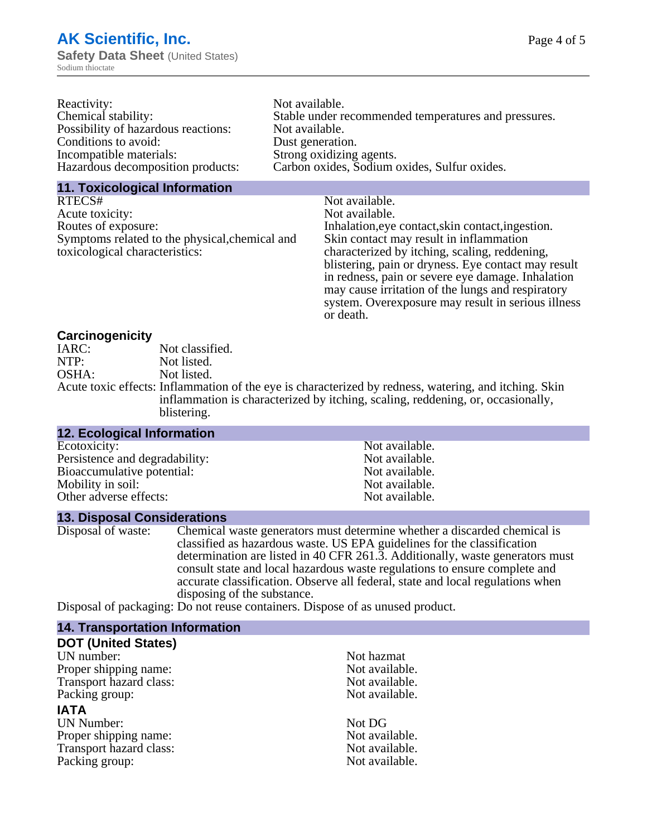| Not available.                                       |
|------------------------------------------------------|
| Stable under recommended temperatures and pressures. |
| Not available.                                       |
| Dust generation.                                     |
| Strong oxidizing agents.                             |
| Carbon oxides, Sodium oxides, Sulfur oxides.         |
|                                                      |

#### **11. Toxicological Information**

| RTECS#                                         | Not available.                                      |
|------------------------------------------------|-----------------------------------------------------|
| Acute toxicity:                                | Not available.                                      |
| Routes of exposure:                            | Inhalation, eye contact, skin contact, ingestion.   |
| Symptoms related to the physical, chemical and | Skin contact may result in inflammation             |
| toxicological characteristics:                 | characterized by itching, scaling, reddening,       |
|                                                | blistering, pain or dryness. Eye contact may result |
|                                                | in redness, pain or severe eye damage. Inhalation   |
|                                                | may cause irritation of the lungs and respiratory   |
|                                                | system. Overexposure may result in serious illness  |

or death.

#### **Carcinogenicity**

| IARC: | Not classified.                                                                                       |
|-------|-------------------------------------------------------------------------------------------------------|
| NTP:  | Not listed.                                                                                           |
| OSHA: | Not listed.                                                                                           |
|       | Acute toxic effects: Inflammation of the eye is characterized by redness, watering, and itching. Skin |
|       | inflammation is characterized by itching, scaling, reddening, or, occasionally,                       |
|       | blistering.                                                                                           |

| 12. Ecological Information     |                |
|--------------------------------|----------------|
| Ecotoxicity:                   | Not available. |
| Persistence and degradability: | Not available. |
| Bioaccumulative potential:     | Not available. |
| Mobility in soil:              | Not available. |
| Other adverse effects:         | Not available. |

#### **13. Disposal Considerations**

Disposal of waste: Chemical waste generators must determine whether a discarded chemical is classified as hazardous waste. US EPA guidelines for the classification determination are listed in 40 CFR 261.3. Additionally, waste generators must consult state and local hazardous waste regulations to ensure complete and accurate classification. Observe all federal, state and local regulations when disposing of the substance.

Disposal of packaging: Do not reuse containers. Dispose of as unused product.

| <b>14. Transportation Information</b> |                |
|---------------------------------------|----------------|
| <b>DOT (United States)</b>            |                |
| UN number:                            | Not hazmat     |
| Proper shipping name:                 | Not available. |
| Transport hazard class:               | Not available. |
| Packing group:                        | Not available. |
| <b>IATA</b>                           |                |
| <b>UN Number:</b>                     | Not DG         |
| Proper shipping name:                 | Not available. |
| Transport hazard class:               | Not available. |
| Packing group:                        | Not available. |